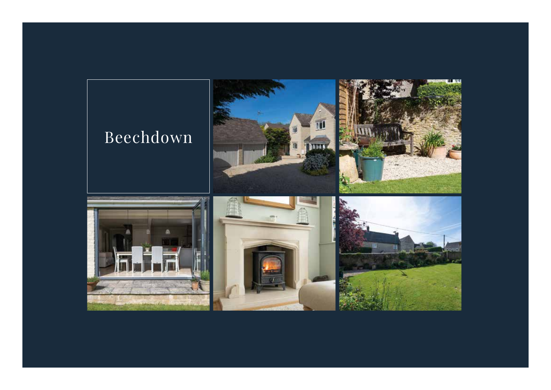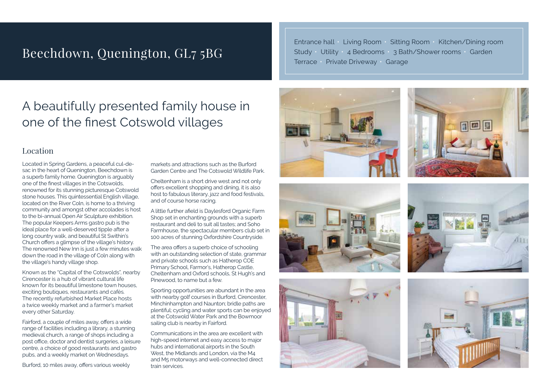### Beechdown, Quenington, GL7 5BG

Entrance hall • Living Room • Sitting Room • Kitchen/Dining room Study • Utility • 4 Bedrooms • 3 Bath/Shower rooms • Garden Terrace • Private Driveway • Garage

## A beautifully presented family house in one of the finest Cotswold villages

#### Location

Located in Spring Gardens, a peaceful cul-desac in the heart of Quenington, Beechdown is a superb family home. Quenington is arguably one of the finest villages in the Cotswolds, renowned for its stunning picturesque Cotswold stone houses. This quintessential English village, located on the River Coln, is home to a thriving community and amongst other accolades is host to the bi-annual Open Air Sculpture exhibition. The popular Keepers Arms gastro pub is the ideal place for a well-deserved tipple after a long country walk, and beautiful St Swithin's Church offers a glimpse of the village's history. The renowned New Inn is just a few minutes walk down the road in the village of Coln along with the village's handy village shop.

Known as the "Capital of the Cotswolds", nearby Cirencester is a hub of vibrant cultural life known for its beautiful limestone town houses, exciting boutiques, restaurants and cafés. The recently refurbished Market Place hosts a twice weekly market and a farmer's market every other Saturday.

Fairford, a couple of miles away, offers a wide range of facilities including a library, a stunning medieval church, a range of shops including a post office, doctor and dentist surgeries, a leisure centre, a choice of good restaurants and gastro pubs, and a weekly market on Wednesdays.

Burford, 10 miles away, offers various weekly

markets and attractions such as the Burford Garden Centre and The Cotswold Wildlife Park.

Cheltenham is a short drive west and not only offers excellent shopping and dining, it is also host to fabulous literary, jazz and food festivals, and of course horse racing.

A little further afield is Daylesford Organic Farm Shop set in enchanting grounds with a superb restaurant and deli to suit all tastes; and Soho Farmhouse, the spectacular members club set in 100 acres of stunning Oxfordshire Countryside.

The area offers a superb choice of schooling with an outstanding selection of state, grammar and private schools such as Hatherop COE Primary School, Farmor's, Hatherop Castle, Cheltenham and Oxford schools, St Hugh's and Pinewood, to name but a few.

Sporting opportunities are abundant in the area with nearby golf courses in Burford, Cirencester, Minchinhampton and Naunton; bridle paths are plentiful; cycling and water sports can be enjoyed at the Cotswold Water Park and the Bowmoor sailing club is nearby in Fairford.

Communications in the area are excellent with high-speed internet and easy access to major hubs and international airports in the South West, the Midlands and London, via the M4 and M5 motorways and well-connected direct train services.











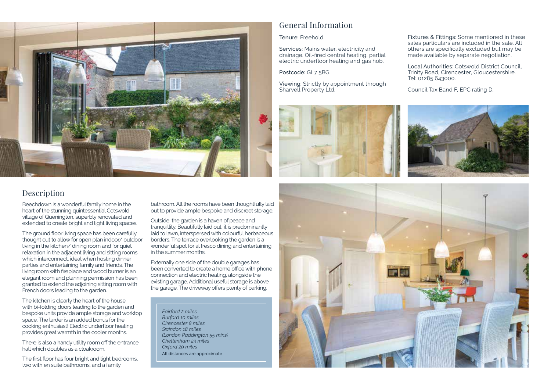

#### General Information

Tenure: Freehold.

Services: Mains water, electricity and drainage. Oil-fired central heating, partial electric underfloor heating and gas hob.

Postcode: GL7 5BG.

Viewing: Strictly by appointment through Sharvell Property Ltd.



Fixtures & Fittings: Some mentioned in these sales particulars are included in the sale. All others are specifically excluded but may be made available by separate negotiation.

Local Authorities: Cotswold District Council, Trinity Road, Cirencester, Gloucestershire. Tel: 01285 643000.

Council Tax Band F, EPC rating D.



#### Description

Beechdown is a wonderful family home in the heart of the stunning quintessential Cotswold village of Quenington, superbly renovated and extended to create bright and light living spaces.

The ground floor living space has been carefully thought out to allow for open plan indoor/ outdoor living in the kitchen/ dining room and for quiet relaxation in the adjacent living and sitting rooms which interconnect, ideal when hosting dinner parties and entertaining family and friends. The living room with fireplace and wood burner is an elegant room and planning permission has been granted to extend the adjoining sitting room with French doors leading to the garden.

The kitchen is clearly the heart of the house with bi-folding doors leading to the garden and bespoke units provide ample storage and worktop space. The larder is an added bonus for the cooking enthusiast! Electric underfloor heating provides great warmth in the cooler months.

There is also a handy utility room off the entrance hall which doubles as a cloakroom.

The first floor has four bright and light bedrooms, two with en suite bathrooms, and a family

bathroom. All the rooms have been thoughtfully laid out to provide ample bespoke and discreet storage.

Outside, the garden is a haven of peace and tranquillity. Beautifully laid out, it is predominantly laid to lawn, interspersed with colourful herbaceous borders. The terrace overlooking the garden is a wonderful spot for al fresco dining and entertaining in the summer months.

Externally one side of the double garages has been converted to create a home office with phone connection and electric heating, alongside the existing garage. Additional useful storage is above the garage. The driveway offers plenty of parking.

*Fairford 2 miles Burford 10 miles Cirencester 8 miles Swindon 18 miles (London Paddington 55 mins) Cheltenham 23 miles Oxford 29 miles* All distances are approximate